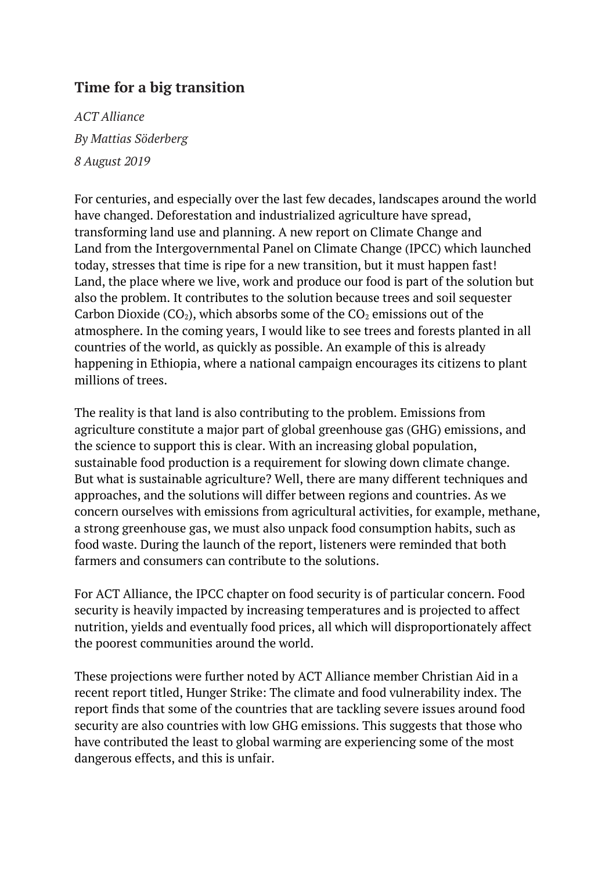## **Time for a big transition**

*ACT Alliance By Mattias Söderberg 8 August 2019*

For centuries, and especially over the last few decades, landscapes around the world have changed. Deforestation and industrialized agriculture have spread, transforming land use and planning. A new report on [Climate](https://www.ipcc.ch/site/assets/uploads/2019/08/4.-SPM_Approved_Microsite_FINAL.pdf) Change and [Land](https://www.ipcc.ch/site/assets/uploads/2019/08/4.-SPM_Approved_Microsite_FINAL.pdf) from the Intergovernmental Panel on Climate Change (IPCC) which launched today, stresses that time is ripe for a new transition, but it must happen fast! Land, the place where we live, work and produce our food is part of the solution but also the problem. It contributes to the solution because trees and soil sequester Carbon Dioxide ( $CO<sub>2</sub>$ ), which absorbs some of the  $CO<sub>2</sub>$  emissions out of the atmosphere. In the coming years, I would like to see trees and forests planted in all countries of the world, as quickly as possible. An example of this is already happening in Ethiopia, where a national campaign encourages its citizens to plant millions of trees.

The reality is that land is also contributing to the problem. Emissions from agriculture constitute a major part of global greenhouse gas (GHG) emissions, and the science to support this is clear. With an increasing global population, sustainable food production is a requirement for slowing down climate change. But what is sustainable agriculture? Well, there are many different techniques and approaches, and the solutions will differ between regions and countries. As we concern ourselves with emissions from agricultural activities, for example, methane, a strong greenhouse gas, we must also unpack food consumption habits, such as food waste. During the launch of the report, listeners were reminded that both farmers and consumers can contribute to the solutions.

For ACT Alliance, the IPCC chapter on food security is of particular concern. Food security is heavily impacted by increasing temperatures and is projected to affect nutrition, yields and eventually food prices, all which will disproportionately affect the poorest communities around the world.

These projections were further noted by ACT Alliance member Christian Aid in a recent report titled, Hunger Strike: The climate and food [vulnerability](https://www.christianaid.org.uk/sites/default/files/2019-07/Hunger-strike-climate-and-food-vulnerability-index.pdf) index. The report finds that some of the countries that are tackling severe issues around food security are also countries with low GHG emissions. This suggests that those who have contributed the least to global warming are experiencing some of the most dangerous effects, and this is unfair.